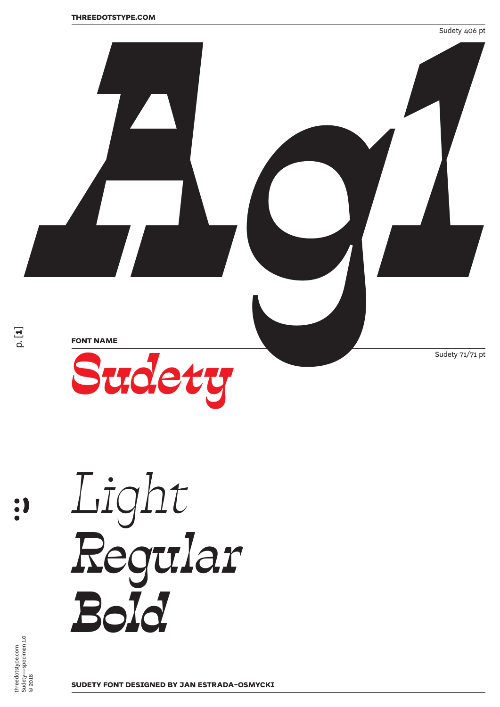

*Light Regular Bold*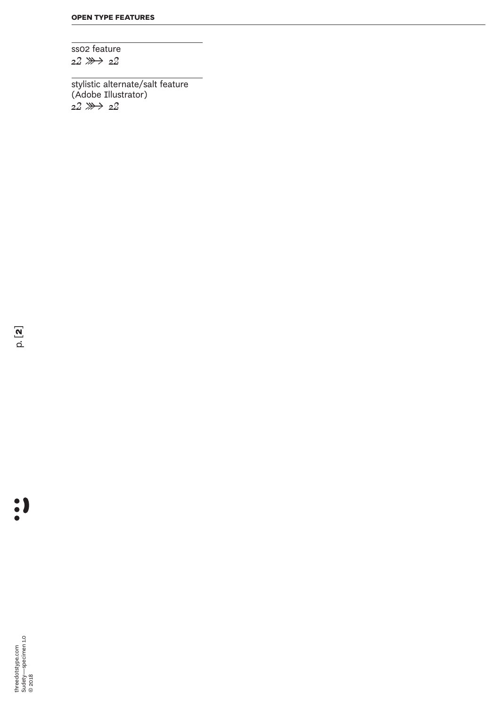ss02 feature *22 ➽ 22*

stylistic alternate/salt feature (Adobe Illustrator) *22 ➽ 22*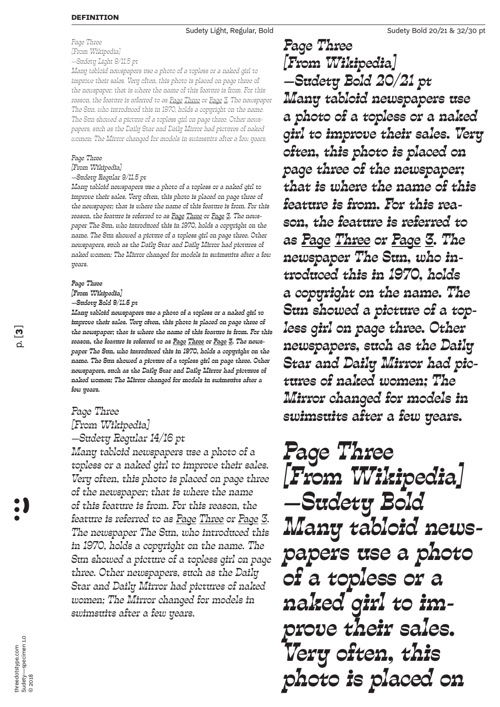*Page Three [From Wikipedia] —Sudety Light 9/11.5 pt*

*Many tabloid newspapers use a photo of a topless or a naked girl to improve their sales. Very often, this photo is placed on page three of the newspaper; that is where the name of this feature is from. For this reason, the feature is referred to as Page Three or Page 3. The newspaper The Sun, who introduced this in 1970, holds a copyright on the name. The Sun showed a picture of a topless girl on page three. Other newspapers, such as the Daily Star and Daily Mirror had pictures of naked women; The Mirror changed for models in swimsuits after a few years.*

## *Page Three*

*[From Wikipedia] —Sudety Regular 9/11.5 pt*

*Many tabloid newspapers use a photo of a topless or a naked girl to improve their sales. Very often, this photo is placed on page three of the newspaper; that is where the name of this feature is from. For this reason, the feature is referred to as Page Three or Page 3. The newspaper The Sun, who introduced this in 1970, holds a copyright on the name. The Sun showed a picture of a topless girl on page three. Other newspapers, such as the Daily Star and Daily Mirror had pictures of naked women; The Mirror changed for models in swimsuits after a few years.*

## *Page Three*

*[From Wikipedia]* 

*—Sudety Bold 9/11.5 pt*

*Many tabloid newspapers use a photo of a topless or a naked girl to improve their sales. Very often, this photo is placed on page three of the newspaper; that is where the name of this feature is from. For this reason, the feature is referred to as Page Three or Page 3. The newspaper The Sun, who introduced this in 1970, holds a copyright on the name. The Sun showed a picture of a topless girl on page three. Other newspapers, such as the Daily Star and Daily Mirror had pictures of naked women; The Mirror changed for models in swimsuits after a few years.*

## *Page Three [From Wikipedia] —Sudety Regular 14/16 pt*

*Many tabloid newspapers use a photo of a topless or a naked girl to improve their sales. Very often, this photo is placed on page three of the newspaper; that is where the name of this feature is from. For this reason, the feature is referred to as Page Three or Page 3. The newspaper The Sun, who introduced this in 1970, holds a copyright on the name. The Sun showed a picture of a topless girl on page three. Other newspapers, such as the Daily Star and Daily Mirror had pictures of naked women; The Mirror changed for models in swimsuits after a few years.*

*Page Three [From Wikipedia] —Sudety Bold 20/21 pt Many tabloid newspapers use a photo of a topless or a naked girl to improve their sales. Very often, this photo is placed on page three of the newspaper; that is where the name of this feature is from. For this reason, the feature is referred to as Page Three or Page 3. The newspaper The Sun, who introduced this in 1970, holds a copyright on the name. The Sun showed a picture of a topless girl on page three. Other newspapers, such as the Daily Star and Daily Mirror had pictures of naked women; The Mirror changed for models in swimsuits after a few years.*

*Page Three [From Wikipedia] —Sudety Bold Many tabloid news- papers use a photo of a topless or a naked girl to im- prove their sales. Very often, this photo is placed on* 

:)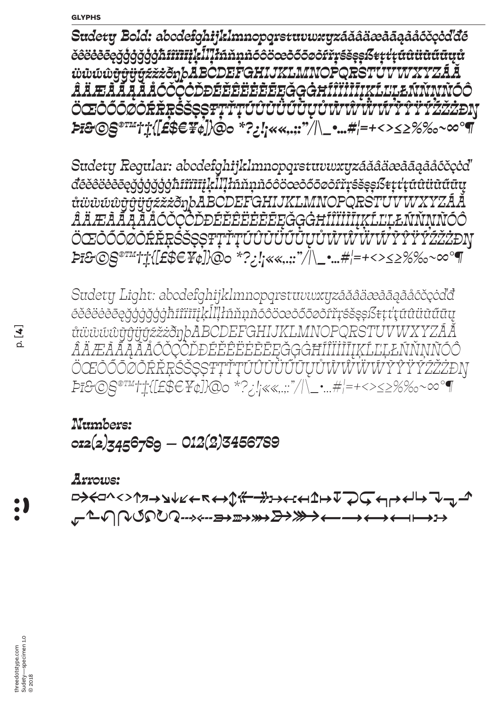*Sudety Bold: abcdefghijklmnopqrstuvwxyzáăâäæàāąãåćčçċďđé ěêëėèēęğģġğģġħíîïìīįķĺľļłńňņñóôöœòőōøõŕřŗśšşșßŧțťţúûüùűūųů ẅẁẃŵỳŷÿýźžżðŋþABCDEFGHIJKLMNOPQRSTUVWXYZÁĂ ÂÄÆÀĀĄÃÅĆČÇĊĎĐÉĚÊËĖÈĒĘĞĢĠĦÍÎÏİÌĪĮĶĹĽĻŁŃŇŅÑÓÔ ÖŒÒŐŌŎŔŘŖŚŠŞŞŦŢŤŢŰÛŨŨŨŨŲŮŴŴŴŴŶŶŶŸŹŽŻĐŊ Þī&©§®™†‡{[£\$€¥¢]}@0 \*?¿!¡««,.;:"/|\\_•…#¦=+<>≤≥%‰~∞°¶*

*Sudety Regular: abcdefghijklmnopqrstuvwxyzáăâäæàāąãåćčçċď đéěêëėèēęğģġğģġħíîïìīįķĺľļłńňņñóôöœòőōøõŕřŗśšşșßŧțťţúûüùűūų ůẅẁẃŵỳŷÿýźžżðŋþABCDEFGHIJKLMNOPQRSTUVWXYZÁĂ ÂÄÆÀĀĄÃÅĆČÇĊĎĐÉĚÊËĖÈĒĘĞĢĠĦÍÎÏİÌĪĮĶĹĽĻŁŃŇŅÑÓÔ ÖŒÒŐŌØÕŔŘŖŚŠŞȘŦȚŤŢÚÛÙÜŰŪŲŮẀŴẄẂỲŶŸÝŹŽŻÐŊ Þī&©§®™†‡{[£\$€¥¢]}@0 \*?¿!¡««,.;:"/|\\_•…#¦=+<>≤≥%‰~∞°¶*

*Sudety Light: abcdefghijklmnopqrstuvwxyzáăâäæàāąãåćčçċďđ éěêëėèēęğģġğģġħíîïìīįķĺľļłńňņñóôöœòőōøõŕřŗśšşșßŧțťţúûüùűūų ůẅẁẃŵỳŷÿýźžżðŋþABCDEFGHIJKLMNOPQRSTUVWXYZÁĂ ÂÄÆÀĀĄÃÅĆČÇĊĎĐÉĚÊËĖÈĒĘĞĢĠĦÍÎÏİÌĪĮĶĹĽĻŁŃŇŅÑÓÔ ÖŒÒŐŌØÕŔŘŖŚŠŞȘŦȚŤŢÚÛÙÜŰŪŲŮẀŴẄẂỲŶŸÝŹŽŻÐŊ Þī&©§®™†‡{[£\$€¥¢]}@0 \*?¿!¡««,.;:"/|\\_•…#¦=+<>≤≥%‰~∞°¶*

## *Numbers: 012(�)3456789 — 012(�)3456789*

*Arrows:* 

<u>़</u> *⬐⬑↶↷↺⟲↻⟳⇢⇠➳➵➸➼➽⟵⟶⟷⟻⟼�*

:)

threedotstype.com Sudety—specimen 1.0 threedotstype.com<br>Sudety—specimen 1.0<br>© 2018